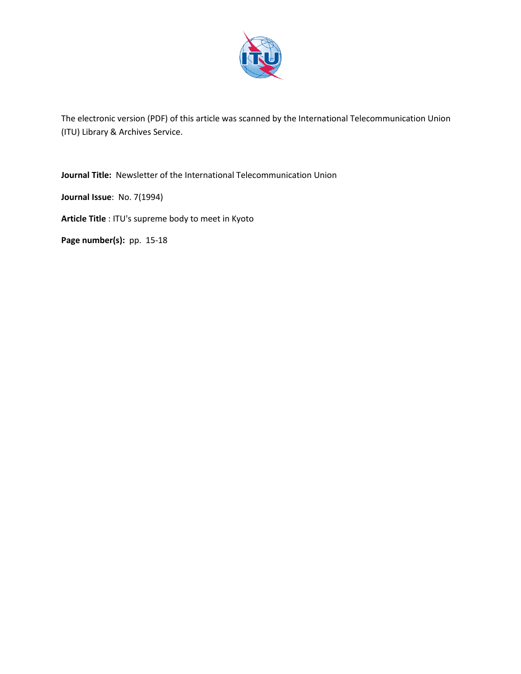

The electronic version (PDF) of this article was scanned by the International Telecommunication Union (ITU) Library & Archives Service.

**Journal Title:** Newsletter of the International Telecommunication Union

**Journal Issue**: No. 7(1994)

**Article Title** : ITU's supreme body to meet in Kyoto

**Page number(s):** pp. 15-18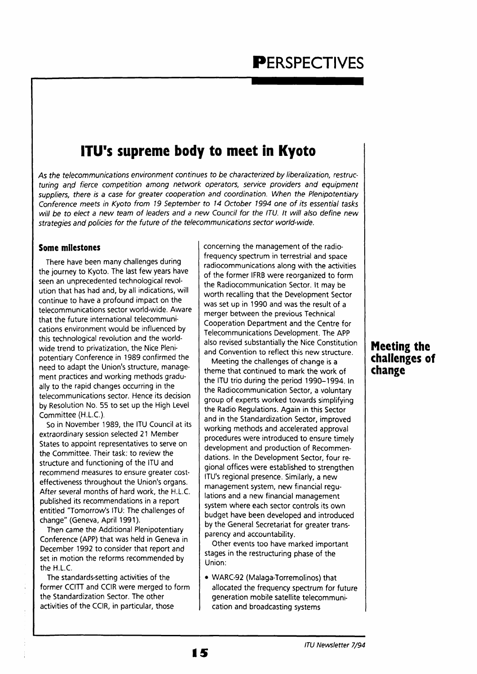### **ITU's supreme body to meet in Kyoto**

As the telecommunications environment continues to be characterized by liberalization, restructuring and fierce competition among network operators, service providers and equipment suppliers, there is a case for greater cooperation and coordination. When the Plenipotentiary Conference meets in Kyoto from 19 September to 14 October 1994 one of its essential tasks will be to elect a new team of leaders and a new Council for the ITU. It will also define new strategies and policies for the future of the telecommunications sector world-wide.

#### **Some milestones**

There have been many challenges during the journey to Kyoto. The last few years have seen an unprecedented technological revolution that has had and, by all indications, will continue to have a profound impact on the telecommunications sector world-wide. Aware that the future international telecommunications environment would be influenced by this technological revolution and the worldwide trend to privatization, the Nice Plenipotentiary Conference in 1989 confirmed the need to adapt the Union's structure, management practices and working methods gradually to the rapid changes occurring in the telecommunications sector. Hence its decision by Resolution No. 55 to set up the High Level Committee (H.L.C.).

So in November 1989, the ITU Council at its extraordinary session selected 21 Member States to appoint representatives to serve on the Committee. Their task: to review the structure and functioning of the ITU and recommend measures to ensure greater costeffectiveness throughout the Union's organs. After several months of hard work, the H.L.C. published its recommendations in a report entitled "Tomorrow's ITU: The challenges of change" (Geneva, April 1991).

Then came the Additional Plenipotentiary Conference (APP) that was held in Geneva in December 1992 to consider that report and set in motion the reforms recommended by the H.L.C.

The standards-setting activities of the former CCITT and CCIR were merged to form the Standardization Sector. The other activities of the CCIR, in particular, those

concerning the management of the radiofrequency spectrum in terrestrial and space radiocommunications along with the activities of the former IFRB were reorganized to form the Radiocommunication Sector. It may be worth recalling that the Development Sector was set up in 1990 and was the result of a merger between the previous Technical Cooperation Department and the Centre for Telecommunications Development. The APP also revised substantially the Nice Constitution and Convention to reflect this new structure.

Meeting the challenges of change is a theme that continued to mark the work of the ITU trio during the period 1990-1994. In the Radiocommunication Sector, a voluntary group of experts worked towards simplifying the Radio Regulations. Again in this Sector and in the Standardization Sector, improved working methods and accelerated approval procedures were introduced to ensure timely development and production of Recommendations. In the Development Sector, four regional offices were established to strengthen ITU's regional presence. Similarly, a new management system, new financial regulations and a new financial management system where each sector controls its own budget have been developed and introduced by the General Secretariat for greater transparency and accountability.

Other events too have marked important stages in the restructuring phase of the Union:

• WARC-92 (Malaga-Torremolinos) that allocated the frequency spectrum for future generation mobile satellite telecommunication and broadcasting systems

**i5** 

### **Meeting the challenges of change**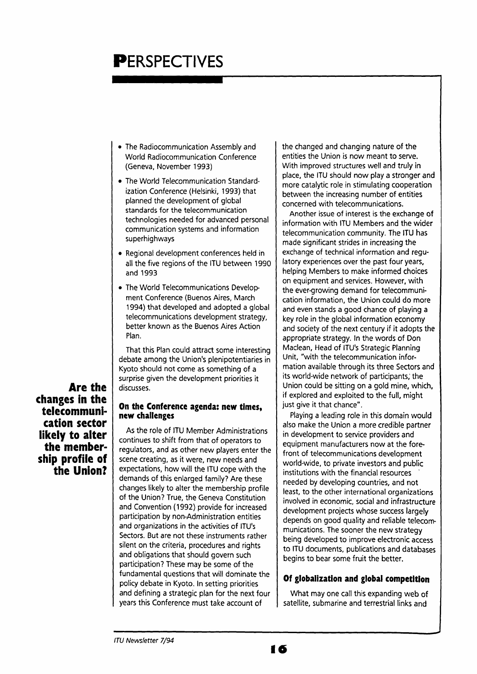## **PERSPECTIVES**

- The Radiocommunication Assembly and World Radiocommunication Conference (Geneva, November 1993)
- The World Telecommunication Standardization Conference (Helsinki, 1993) that planned the development of global standards for the telecommunication technologies needed for advanced personal communication systems and information superhighways
- Regional development conferences held in all the five regions of the ITU between 1990 and 1993
- The World Telecommunications Development Conference (Buenos Aires, March 1994) that developed and adopted a global telecommunications development strategy, better known as the Buenos Aires Action Plan.

That this Plan could attract some interesting debate among the Union's plenipotentiaries in Kyoto should not come as something of a surprise given the development priorities it discusses.

**Are the changes in the telecommunication sector likely to alter the membership profile of the Union?** 

#### **On the Conference agenda: new times, new challenges**

As the role of ITU Member Administrations continues to shift from that of operators to regulators, and as other new players enter the scene creating, as it were, new needs and expectations, how will the ITU cope with the demands of this enlarged family? Are these changes likely to alter the membership profile of the Union? True, the Geneva Constitution and Convention (1992) provide for increased participation by non-Administration entities and organizations in the activities of ITU's Sectors. But are not these instruments rather silent on the criteria, procedures and rights and obligations that should govern such participation? These may be some of the fundamental questions that will dominate the policy debate in Kyoto. In setting priorities and defining a strategic plan for the next four years this Conference must take account of

the changed and changing nature of the entities the Union is now meant to serve. With improved structures well and truly in place, the ITU should now play a stronger and more catalytic role in stimulating cooperation between the increasing number of entities concerned with telecommunications.

Another issue of interest is the exchange of information with ITU Members and the wider telecommunication community. The ITU has made significant strides in increasing the exchange of technical information and regulatory experiences over the past four years, helping Members to make informed choices on equipment and services. However, with the ever-growing demand for telecommunication information, the Union could do more and even stands a good chance of playing a key role in the global information economy and society of the next century if it adopts the appropriate strategy. In the words of Don Maclean, Head of ITU's Strategic Planning Unit, "with the telecommunication information available through its three Sectors and its world-wide network of participants; the Union could be sitting on a gold mine, which, if explored and exploited to the full, might just give it that chance".

Playing a leading role in this domain would also make the Union a more credible partner in development to service providers and equipment manufacturers now at the forefront of telecommunications development world-wide, to private investors and public institutions with the financial resources needed by developing countries, and not least, to the other international organizations involved in economic, social and infrastructure development projects whose success largely depends on good quality and reliable telecommunications. The sooner the new strategy being developed to improve electronic access to ITU documents, publications and databases begins to bear some fruit the better.

#### **Of globalization and global competition**

What may one call this expanding web of satellite, submarine and terrestrial links and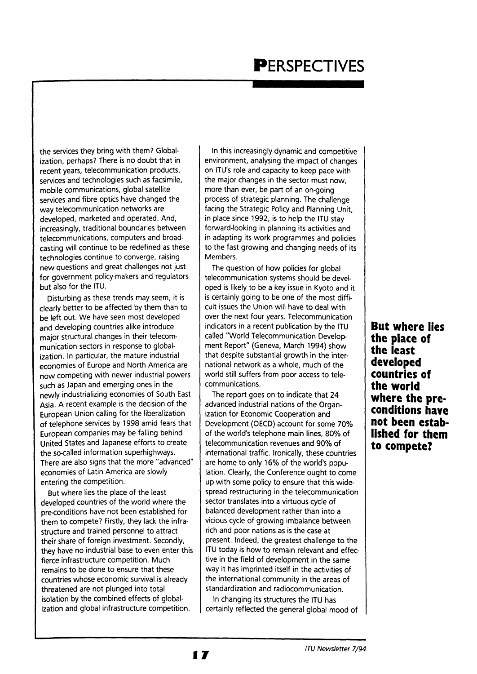# **PERSPECTIVES**

the services they bring with them? Globalization, perhaps? There is no doubt that in recent years, telecommunication products, services and technologies such as facsimile, mobile communications, global satellite services and fibre optics have changed the way telecommunication networks are developed, marketed and operated. And, increasingly, traditional boundaries between telecommunications, computers and broadcasting will continue to be redefined as these technologies continue to converge, raising new questions and great challenges not just for government policy-makers and regulators but also for the ITU.

Disturbing as these trends may seem, it is clearly better to be affected by them than to be left out. We have seen most developed and developing countries alike introduce major structural changes in their telecommunication sectors in response to globalization. In particular, the mature industrial economies of Europe and North America are now competing with newer industrial powers such as Japan and emerging ones in the newly industrializing economies of South East Asia. A recent example is the decision of the European Union calling for the liberalization of telephone services by 1998 amid fears that European companies may be falling behind United States and Japanese efforts to create the so-called information superhighways. There are also signs that the more "advanced" economies of Latin America are slowly entering the competition.

But where lies the place of the least developed countries of the world where the pre-conditions have not been established for them to compete? Firstly, they lack the infrastructure and trained personnel to attract their share of foreign investment. Secondly, they have no industrial base to even enter this fierce infrastructure competition. Much remains to be done to ensure that these countries whose economic survival is already threatened are not plunged into total isolation by the combined effects of globalization and global infrastructure competition.

In this increasingly dynamic and competitive environment, analysing the impact of changes on ITU's role and capacity to keep pace with the major changes in the sector must now, more than ever, be part of an on-going process of strategic planning. The challenge facing the Strategic Policy and Planning Unit, in place since 1992, is to help the ITU stay forward-looking in planning its activities and in adapting its work programmes and policies to the fast growing and changing needs of its Members.

The question of how policies for global telecommunication systems should be developed is likely to be a key issue in Kyoto and it is certainly going to be one of the most difficult issues the Union will have to deal with over the next four years. Telecommunication indicators in a recent publication by the ITU called "World Telecommunication Development Report" (Geneva, March 1994) show that despite substantial growth in the international network as a whole, much of the world still suffers from poor access to telecommunications.

The report goes on to indicate that 24 advanced industrial nations of the Organization for Economic Cooperation and Development (OECD) account for some 70% of the world's telephone main lines, 80% of telecommunication revenues and 90% of international traffic. Ironically, these countries are home to only 16% of the world's population. Clearly, the Conference ought to come up with some policy to ensure that this widespread restructuring in the telecommunication sector translates into a virtuous cycle of balanced development rather than into a vicious cycle of growing imbalance between rich and poor nations as is the case at present. Indeed, the greatest challenge to the ITU today is how to remain relevant and effective in the field of development in the same way it has imprinted itself in the activities of the international community in the areas of standardization and radiocommunication.

In changing its structures the ITU has certainly reflected the general global mood of

**But where lies the place of the least developed countries of the world where the preconditions have not been established for them to compete?**